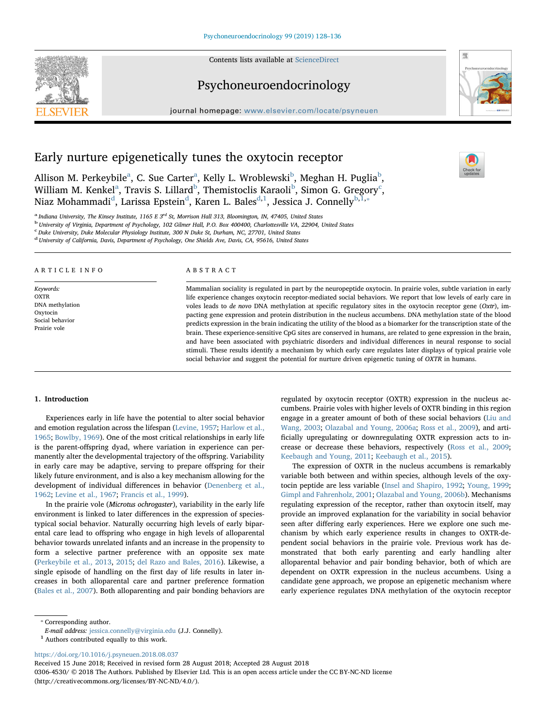Contents lists available at [ScienceDirect](http://www.sciencedirect.com/science/journal/03064530)





journal homepage: [www.elsevier.com/locate/psyneuen](https://www.elsevier.com/locate/psyneuen)



 $\frac{1}{2}$ 

# Early nurture epigenetically tunes the oxytocin receptor

Allison M. Perkey[b](#page-0-1)ile $^{\rm a}$  $^{\rm a}$  $^{\rm a}$ , C. Sue Carter $^{\rm a}$ , Kelly L. Wroblewski $^{\rm b}$ , Meghan H. Puglia $^{\rm b}$ , Willi[a](#page-0-0)m M. Kenkel $^{\rm a}$ , Travis S. Lillard $^{\rm b}$  $^{\rm b}$  $^{\rm b}$ , Themisto[c](#page-0-2)lis Karaoli $^{\rm b}$ , Simon G. Gregory $^{\rm c}$ , Niaz Mohamma[d](#page-0-3)i<sup>d</sup>, Larissa Epstein<sup>d</sup>, Karen L. Bales<sup>[d,](#page-0-3)[1](#page-0-4)</sup>, Jessica J. Connelly<sup>[b,](#page-0-1)I,</sup>\*

<span id="page-0-0"></span><sup>a</sup> Indiana University, The Kinsey Institute, 1165 E 3<sup>rd</sup> St, Morrison Hall 313, Bloomington, IN, 47405, United States<br><sup>b</sup> University of Virginia, Department of Psychology, 102 Gilmer Hall, P.O. Box 400400, Charlottesvil

<span id="page-0-1"></span>

<span id="page-0-2"></span>c Duke University, Duke Molecular Physiology Institute, 300 N Duke St, Durham, NC, 27701, United States

<span id="page-0-3"></span><sup>d</sup> University of California, Davis, Department of Psychology, One Shields Ave, Davis, CA, 95616, United States

#### ARTICLE INFO

Keywords: OXTR DNA methylation Oxytocin Social behavior Prairie vole

#### ABSTRACT

Mammalian sociality is regulated in part by the neuropeptide oxytocin. In prairie voles, subtle variation in early life experience changes oxytocin receptor-mediated social behaviors. We report that low levels of early care in voles leads to de novo DNA methylation at specific regulatory sites in the oxytocin receptor gene (Oxtr), impacting gene expression and protein distribution in the nucleus accumbens. DNA methylation state of the blood predicts expression in the brain indicating the utility of the blood as a biomarker for the transcription state of the brain. These experience-sensitive CpG sites are conserved in humans, are related to gene expression in the brain, and have been associated with psychiatric disorders and individual differences in neural response to social stimuli. These results identify a mechanism by which early care regulates later displays of typical prairie vole social behavior and suggest the potential for nurture driven epigenetic tuning of OXTR in humans.

# 1. Introduction

Experiences early in life have the potential to alter social behavior and emotion regulation across the lifespan [\(Levine, 1957;](#page-8-0) [Harlow et al.,](#page-8-1) [1965;](#page-8-1) [Bowlby, 1969\)](#page-8-2). One of the most critical relationships in early life is the parent-offspring dyad, where variation in experience can permanently alter the developmental trajectory of the offspring. Variability in early care may be adaptive, serving to prepare offspring for their likely future environment, and is also a key mechanism allowing for the development of individual differences in behavior [\(Denenberg et al.,](#page-8-3) [1962;](#page-8-3) [Levine et al., 1967](#page-8-4); [Francis et al., 1999\)](#page-8-5).

In the prairie vole (Microtus ochrogaster), variability in the early life environment is linked to later differences in the expression of speciestypical social behavior. Naturally occurring high levels of early biparental care lead to offspring who engage in high levels of alloparental behavior towards unrelated infants and an increase in the propensity to form a selective partner preference with an opposite sex mate ([Perkeybile et al., 2013,](#page-8-6) [2015;](#page-8-7) [del Razo and Bales, 2016\)](#page-8-8). Likewise, a single episode of handling on the first day of life results in later increases in both alloparental care and partner preference formation ([Bales et al., 2007\)](#page-8-9). Both alloparenting and pair bonding behaviors are regulated by oxytocin receptor (OXTR) expression in the nucleus accumbens. Prairie voles with higher levels of OXTR binding in this region engage in a greater amount of both of these social behaviors ([Liu and](#page-8-10) [Wang, 2003;](#page-8-10) [Olazabal and Young, 2006a;](#page-8-11) [Ross et al., 2009\)](#page-8-12), and artificially upregulating or downregulating OXTR expression acts to increase or decrease these behaviors, respectively [\(Ross et al., 2009](#page-8-12); [Keebaugh and Young, 2011](#page-8-13); [Keebaugh et al., 2015](#page-8-14)).

The expression of OXTR in the nucleus accumbens is remarkably variable both between and within species, although levels of the oxytocin peptide are less variable ([Insel and Shapiro, 1992;](#page-8-15) [Young, 1999](#page-8-16); [Gimpl and Fahrenholz, 2001](#page-8-17); [Olazabal and Young, 2006b](#page-8-18)). Mechanisms regulating expression of the receptor, rather than oxytocin itself, may provide an improved explanation for the variability in social behavior seen after differing early experiences. Here we explore one such mechanism by which early experience results in changes to OXTR-dependent social behaviors in the prairie vole. Previous work has demonstrated that both early parenting and early handling alter alloparental behavior and pair bonding behavior, both of which are dependent on OXTR expression in the nucleus accumbens. Using a candidate gene approach, we propose an epigenetic mechanism where early experience regulates DNA methylation of the oxytocin receptor

<span id="page-0-5"></span>⁎ Corresponding author.

<https://doi.org/10.1016/j.psyneuen.2018.08.037>

Received 15 June 2018; Received in revised form 28 August 2018; Accepted 28 August 2018

0306-4530/ © 2018 The Authors. Published by Elsevier Ltd. This is an open access article under the CC BY-NC-ND license (http://creativecommons.org/licenses/BY-NC-ND/4.0/).

E-mail address: [jessica.connelly@virginia.edu](mailto:jessica.connelly@virginia.edu) (J.J. Connelly).

<span id="page-0-4"></span> $1$  Authors contributed equally to this work.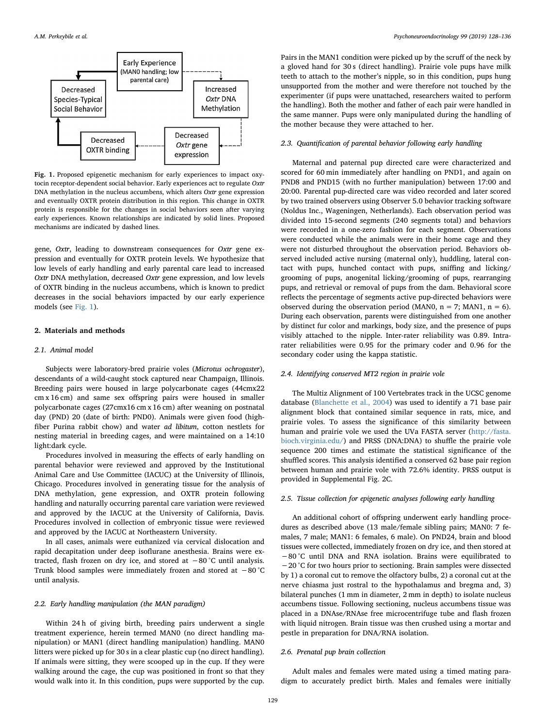<span id="page-1-0"></span>

Fig. 1. Proposed epigenetic mechanism for early experiences to impact oxytocin receptor-dependent social behavior. Early experiences act to regulate Oxtr DNA methylation in the nucleus accumbens, which alters Oxtr gene expression and eventually OXTR protein distribution in this region. This change in OXTR protein is responsible for the changes in social behaviors seen after varying early experiences. Known relationships are indicated by solid lines. Proposed mechanisms are indicated by dashed lines.

gene, Oxtr, leading to downstream consequences for Oxtr gene expression and eventually for OXTR protein levels. We hypothesize that low levels of early handling and early parental care lead to increased Oxtr DNA methylation, decreased Oxtr gene expression, and low levels of OXTR binding in the nucleus accumbens, which is known to predict decreases in the social behaviors impacted by our early experience models (see [Fig. 1](#page-1-0)).

# 2. Materials and methods

# 2.1. Animal model

Subjects were laboratory-bred prairie voles (Microtus ochrogaster), descendants of a wild-caught stock captured near Champaign, Illinois. Breeding pairs were housed in large polycarbonate cages (44cmx22 cm x 16 cm) and same sex offspring pairs were housed in smaller polycarbonate cages (27cmx16 cm x 16 cm) after weaning on postnatal day (PND) 20 (date of birth: PND0). Animals were given food (highfiber Purina rabbit chow) and water ad libitum, cotton nestlets for nesting material in breeding cages, and were maintained on a 14:10 light:dark cycle.

Procedures involved in measuring the effects of early handling on parental behavior were reviewed and approved by the Institutional Animal Care and Use Committee (IACUC) at the University of Illinois, Chicago. Procedures involved in generating tissue for the analysis of DNA methylation, gene expression, and OXTR protein following handling and naturally occurring parental care variation were reviewed and approved by the IACUC at the University of California, Davis. Procedures involved in collection of embryonic tissue were reviewed and approved by the IACUC at Northeastern University.

In all cases, animals were euthanized via cervical dislocation and rapid decapitation under deep isoflurane anesthesia. Brains were extracted, flash frozen on dry ice, and stored at −80 °C until analysis. Trunk blood samples were immediately frozen and stored at −80 °C until analysis.

# 2.2. Early handling manipulation (the MAN paradigm)

Within 24 h of giving birth, breeding pairs underwent a single treatment experience, herein termed MAN0 (no direct handling manipulation) or MAN1 (direct handling manipulation) handling. MAN0 litters were picked up for 30 s in a clear plastic cup (no direct handling). If animals were sitting, they were scooped up in the cup. If they were walking around the cage, the cup was positioned in front so that they would walk into it. In this condition, pups were supported by the cup.

Pairs in the MAN1 condition were picked up by the scruff of the neck by a gloved hand for 30 s (direct handling). Prairie vole pups have milk teeth to attach to the mother's nipple, so in this condition, pups hung unsupported from the mother and were therefore not touched by the experimenter (if pups were unattached, researchers waited to perform the handling). Both the mother and father of each pair were handled in the same manner. Pups were only manipulated during the handling of the mother because they were attached to her.

# 2.3. Quantification of parental behavior following early handling

Maternal and paternal pup directed care were characterized and scored for 60 min immediately after handling on PND1, and again on PND8 and PND15 (with no further manipulation) between 17:00 and 20:00. Parental pup-directed care was video recorded and later scored by two trained observers using Observer 5.0 behavior tracking software (Noldus Inc., Wageningen, Netherlands). Each observation period was divided into 15-second segments (240 segments total) and behaviors were recorded in a one-zero fashion for each segment. Observations were conducted while the animals were in their home cage and they were not disturbed throughout the observation period. Behaviors observed included active nursing (maternal only), huddling, lateral contact with pups, hunched contact with pups, sniffing and licking/ grooming of pups, anogenital licking/grooming of pups, rearranging pups, and retrieval or removal of pups from the dam. Behavioral score reflects the percentage of segments active pup-directed behaviors were observed during the observation period (MAN0,  $n = 7$ ; MAN1,  $n = 6$ ). During each observation, parents were distinguished from one another by distinct fur color and markings, body size, and the presence of pups visibly attached to the nipple. Inter-rater reliability was 0.89. Intrarater reliabilities were 0.95 for the primary coder and 0.96 for the secondary coder using the kappa statistic.

# 2.4. Identifying conserved MT2 region in prairie vole

The Multiz Alignment of 100 Vertebrates track in the UCSC genome database [\(Blanchette et al., 2004\)](#page-8-19) was used to identify a 71 base pair alignment block that contained similar sequence in rats, mice, and prairie voles. To assess the significance of this similarity between human and prairie vole we used the UVa FASTA server [\(http://fasta.](http://fasta.bioch.virginia.edu/) [bioch.virginia.edu/\)](http://fasta.bioch.virginia.edu/) and PRSS (DNA:DNA) to shuffle the prairie vole sequence 200 times and estimate the statistical significance of the shuffled scores. This analysis identified a conserved 62 base pair region between human and prairie vole with 72.6% identity. PRSS output is provided in Supplemental Fig. 2C.

## 2.5. Tissue collection for epigenetic analyses following early handling

An additional cohort of offspring underwent early handling procedures as described above (13 male/female sibling pairs; MAN0: 7 females, 7 male; MAN1: 6 females, 6 male). On PND24, brain and blood tissues were collected, immediately frozen on dry ice, and then stored at −80 °C until DNA and RNA isolation. Brains were equilibrated to −20 °C for two hours prior to sectioning. Brain samples were dissected by 1) a coronal cut to remove the olfactory bulbs, 2) a coronal cut at the nerve chiasma just rostral to the hypothalamus and bregma and, 3) bilateral punches (1 mm in diameter, 2 mm in depth) to isolate nucleus accumbens tissue. Following sectioning, nucleus accumbens tissue was placed in a DNAse/RNAse free microcentrifuge tube and flash frozen with liquid nitrogen. Brain tissue was then crushed using a mortar and pestle in preparation for DNA/RNA isolation.

## 2.6. Prenatal pup brain collection

Adult males and females were mated using a timed mating paradigm to accurately predict birth. Males and females were initially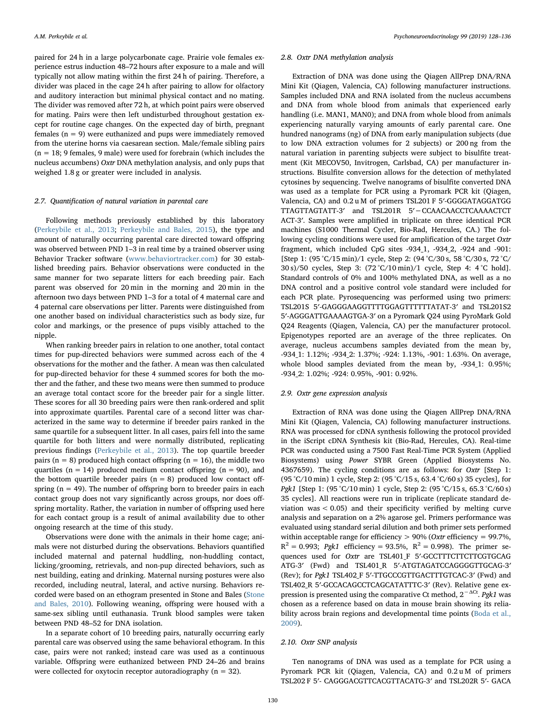paired for 24 h in a large polycarbonate cage. Prairie vole females experience estrus induction 48–72 hours after exposure to a male and will typically not allow mating within the first 24 h of pairing. Therefore, a divider was placed in the cage 24 h after pairing to allow for olfactory and auditory interaction but minimal physical contact and no mating. The divider was removed after 72 h, at which point pairs were observed for mating. Pairs were then left undisturbed throughout gestation except for routine cage changes. On the expected day of birth, pregnant females  $(n = 9)$  were euthanized and pups were immediately removed from the uterine horns via caesarean section. Male/female sibling pairs  $(n = 18: 9$  females, 9 male) were used for forebrain (which includes the nucleus accumbens) *Oxtr* DNA methylation analysis, and only pups that weighed 1.8 g or greater were included in analysis.

# 2.7. Quantification of natural variation in parental care

Following methods previously established by this laboratory ([Perkeybile et al., 2013](#page-8-6); [Perkeybile and Bales, 2015\)](#page-8-20), the type and amount of naturally occurring parental care directed toward offspring was observed between PND 1–3 in real time by a trained observer using Behavior Tracker software [\(www.behaviortracker.com](http://www.behaviortracker.com)) for 30 established breeding pairs. Behavior observations were conducted in the same manner for two separate litters for each breeding pair. Each parent was observed for 20 min in the morning and 20 min in the afternoon two days between PND 1–3 for a total of 4 maternal care and 4 paternal care observations per litter. Parents were distinguished from one another based on individual characteristics such as body size, fur color and markings, or the presence of pups visibly attached to the nipple.

When ranking breeder pairs in relation to one another, total contact times for pup-directed behaviors were summed across each of the 4 observations for the mother and the father. A mean was then calculated for pup-directed behavior for these 4 summed scores for both the mother and the father, and these two means were then summed to produce an average total contact score for the breeder pair for a single litter. These scores for all 30 breeding pairs were then rank-ordered and split into approximate quartiles. Parental care of a second litter was characterized in the same way to determine if breeder pairs ranked in the same quartile for a subsequent litter. In all cases, pairs fell into the same quartile for both litters and were normally distributed, replicating previous findings [\(Perkeybile et al., 2013\)](#page-8-6). The top quartile breeder pairs ( $n = 8$ ) produced high contact offspring ( $n = 16$ ), the middle two quartiles ( $n = 14$ ) produced medium contact offspring ( $n = 90$ ), and the bottom quartile breeder pairs  $(n = 8)$  produced low contact offspring  $(n = 49)$ . The number of offspring born to breeder pairs in each contact group does not vary significantly across groups, nor does offspring mortality. Rather, the variation in number of offspring used here for each contact group is a result of animal availability due to other ongoing research at the time of this study.

Observations were done with the animals in their home cage; animals were not disturbed during the observations. Behaviors quantified included maternal and paternal huddling, non-huddling contact, licking/grooming, retrievals, and non-pup directed behaviors, such as nest building, eating and drinking. Maternal nursing postures were also recorded, including neutral, lateral, and active nursing. Behaviors recorded were based on an ethogram presented in Stone and Bales [\(Stone](#page-8-21) [and Bales, 2010\)](#page-8-21). Following weaning, offspring were housed with a same-sex sibling until euthanasia. Trunk blood samples were taken between PND 48–52 for DNA isolation.

In a separate cohort of 10 breeding pairs, naturally occurring early parental care was observed using the same behavioral ethogram. In this case, pairs were not ranked; instead care was used as a continuous variable. Offspring were euthanized between PND 24–26 and brains were collected for oxytocin receptor autoradiography ( $n = 32$ ).

#### 2.8. Oxtr DNA methylation analysis

Extraction of DNA was done using the Qiagen AllPrep DNA/RNA Mini Kit (Qiagen, Valencia, CA) following manufacturer instructions. Samples included DNA and RNA isolated from the nucleus accumbens and DNA from whole blood from animals that experienced early handling (i.e. MAN1, MAN0); and DNA from whole blood from animals experiencing naturally varying amounts of early parental care. One hundred nanograms (ng) of DNA from early manipulation subjects (due to low DNA extraction volumes for 2 subjects) or 200 ng from the natural variation in parenting subjects were subject to bisulfite treatment (Kit MECOV50, Invitrogen, Carlsbad, CA) per manufacturer instructions. Bisulfite conversion allows for the detection of methylated cytosines by sequencing. Twelve nanograms of bisulfite converted DNA was used as a template for PCR using a Pyromark PCR kit (Qiagen, Valencia, CA) and 0.2 u M of primers TSL201 F 5′-GGGGATAGGATGG TTAGTTAGTATT-3′ and TSL201R 5′−CCAACAACCTCAAAACTCT ACT-3′. Samples were amplified in triplicate on three identical PCR machines (S1000 Thermal Cycler, Bio-Rad, Hercules, CA.) The following cycling conditions were used for amplification of the target Oxtr fragment, which included CpG sites -934\_1, -934\_2, -924 and -901: [Step 1: (95 °C/15 min)/1 cycle, Step 2: (94 °C/30 s, 58 °C/30 s, 72 °C/ 30 s)/50 cycles, Step 3: (72 °C/10 min)/1 cycle, Step 4: 4 °C hold]. Standard controls of 0% and 100% methylated DNA, as well as a no DNA control and a positive control vole standard were included for each PCR plate. Pyrosequencing was performed using two primers: TSL201S 5′-GAGGGAAGGTTTTGGAGTTTTTTATAT-3′ and TSL201S2 5′-AGGGATTGAAAAGTGA-3′ on a Pyromark Q24 using PyroMark Gold Q24 Reagents (Qiagen, Valencia, CA) per the manufacturer protocol. Epigenotypes reported are an average of the three replicates. On average, nucleus accumbens samples deviated from the mean by, -934\_1: 1.12%; -934\_2: 1.37%; -924: 1.13%, -901: 1.63%. On average, whole blood samples deviated from the mean by, -934 1: 0.95%; -934\_2: 1.02%; -924: 0.95%, -901: 0.92%.

# 2.9. Oxtr gene expression analysis

Extraction of RNA was done using the Qiagen AllPrep DNA/RNA Mini Kit (Qiagen, Valencia, CA) following manufacturer instructions. RNA was processed for cDNA synthesis following the protocol provided in the iScript cDNA Synthesis kit (Bio-Rad, Hercules, CA). Real-time PCR was conducted using a 7500 Fast Real-Time PCR System (Applied Biosystems) using Power SYBR Green (Applied Biosystems No. 4367659). The cycling conditions are as follows: for Oxtr [Step 1: (95 °C/10 min) 1 cycle, Step 2: (95 °C/15 s, 63.4 °C/60 s) 35 cycles], for Pgk1 [Step 1: (95 °C/10 min) 1 cycle, Step 2: (95 °C/15 s, 65.3 °C/60 s) 35 cycles]. All reactions were run in triplicate (replicate standard deviation was < 0.05) and their specificity verified by melting curve analysis and separation on a 2% agarose gel. Primers performance was evaluated using standard serial dilution and both primer sets performed within acceptable range for efficiency  $> 90\%$  (Oxtr efficiency = 99.7%,  $R^2 = 0.993$ ; *Pgk1* efficiency = 93.5%,  $R^2 = 0.998$ ). The primer sequences used for Oxtr are TSL401\_F 5'-GCCTTTCTTCTTCGTGCAG ATG-3′ (Fwd) and TSL401\_R 5′-ATGTAGATCCAGGGGTTGCAG-3′ (Rev); for Pgk1 TSL402\_F 5′-TTGCCCGTTGACTTTGTCAC-3′ (Fwd) and TSL402\_R 5′-GCCACAGCCTCAGCATATTTC-3′ (Rev). Relative gene expression is presented using the comparative Ct method,  $2^{-\Delta Ct}$ . Pgk1 was chosen as a reference based on data in mouse brain showing its reliability across brain regions and developmental time points [\(Boda et al.,](#page-8-22) [2009\)](#page-8-22).

#### 2.10. Oxtr SNP analysis

Ten nanograms of DNA was used as a template for PCR using a Pyromark PCR kit (Qiagen, Valencia, CA) and 0.2 u M of primers TSL202 F 5′- CAGGGACGTTCACGTTACATG-3′ and TSL202R 5′- GACA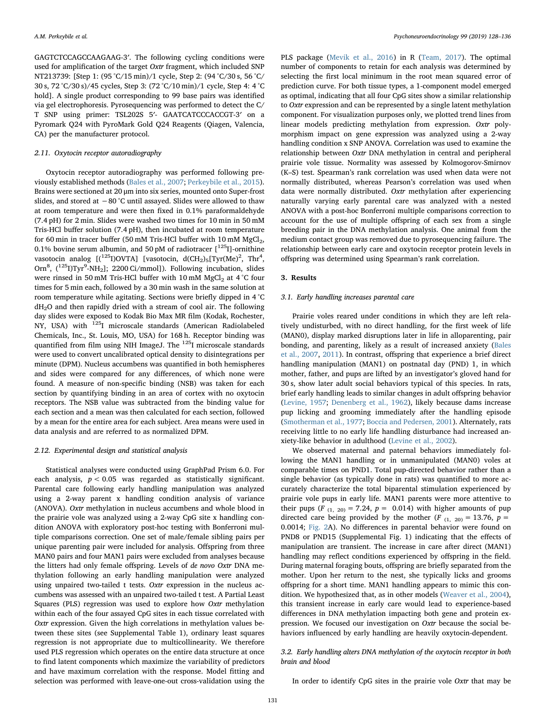GAGTCTCCAGCCAAGAAG-3′. The following cycling conditions were used for amplification of the target Oxtr fragment, which included SNP NT213739: [Step 1: (95 °C/15 min)/1 cycle, Step 2: (94 °C/30 s, 56 °C/ 30 s, 72 °C/30 s)/45 cycles, Step 3: (72 °C/10 min)/1 cycle, Step 4: 4 °C hold]. A single product corresponding to 99 base pairs was identified via gel electrophoresis. Pyrosequencing was performed to detect the C/ T SNP using primer: TSL202S 5′- GAATCATCCCACCGT-3′ on a Pyromark Q24 with PyroMark Gold Q24 Reagents (Qiagen, Valencia, CA) per the manufacturer protocol.

# 2.11. Oxytocin receptor autoradiography

Oxytocin receptor autoradiography was performed following previously established methods ([Bales et al., 2007;](#page-8-9) [Perkeybile et al., 2015](#page-8-7)). Brains were sectioned at 20 μm into six series, mounted onto Super-frost slides, and stored at −80 °C until assayed. Slides were allowed to thaw at room temperature and were then fixed in 0.1% paraformaldehyde (7.4 pH) for 2 min. Slides were washed two times for 10 min in 50 mM Tris-HCl buffer solution (7.4 pH), then incubated at room temperature for 60 min in tracer buffer (50 mM Tris-HCl buffer with  $10 \text{ mM } MgCl_2$ , 0.1% bovine serum albumin, and 50 pM of radiotracer  $[1^{25}I]$ -ornithine vasotocin analog  $[(^{125}I)$ OVTA] [vasotocin, d $(CH_2)_5$ [Tyr $(Me)^2$ , Thr<sup>4</sup>, Orn<sup>8</sup>, (<sup>125</sup>I)Tyr<sup>9</sup>-NH<sub>2</sub>]; 2200 Ci/mmol]). Following incubation, slides were rinsed in 50 mM Tris-HCl buffer with 10 mM MgCl<sub>2</sub> at 4 °C four times for 5 min each, followed by a 30 min wash in the same solution at room temperature while agitating. Sections were briefly dipped in 4 °C dH2O and then rapidly dried with a stream of cool air. The following day slides were exposed to Kodak Bio Max MR film (Kodak, Rochester, NY, USA) with <sup>125</sup>I microscale standards (American Radiolabeled Chemicals, Inc., St. Louis, MO, USA) for 168 h. Receptor binding was quantified from film using NIH ImageJ. The <sup>125</sup>I microscale standards were used to convert uncalibrated optical density to disintegrations per minute (DPM). Nucleus accumbens was quantified in both hemispheres and sides were compared for any differences, of which none were found. A measure of non-specific binding (NSB) was taken for each section by quantifying binding in an area of cortex with no oxytocin receptors. The NSB value was subtracted from the binding value for each section and a mean was then calculated for each section, followed by a mean for the entire area for each subject. Area means were used in data analysis and are referred to as normalized DPM.

#### 2.12. Experimental design and statistical analysis

Statistical analyses were conducted using GraphPad Prism 6.0. For each analysis,  $p < 0.05$  was regarded as statistically significant. Parental care following early handling manipulation was analyzed using a 2-way parent x handling condition analysis of variance (ANOVA). Oxtr methylation in nucleus accumbens and whole blood in the prairie vole was analyzed using a 2-way CpG site x handling condition ANOVA with exploratory post-hoc testing with Bonferroni multiple comparisons correction. One set of male/female sibling pairs per unique parenting pair were included for analysis. Offspring from three MAN0 pairs and four MAN1 pairs were excluded from analyses because the litters had only female offspring. Levels of de novo Oxtr DNA methylation following an early handling manipulation were analyzed using unpaired two-tailed t tests. Oxtr expression in the nucleus accumbens was assessed with an unpaired two-tailed t test. A Partial Least Squares (PLS) regression was used to explore how Oxtr methylation within each of the four assayed CpG sites in each tissue correlated with Oxtr expression. Given the high correlations in methylation values between these sites (see Supplemental Table 1), ordinary least squares regression is not appropriate due to multicollinearity. We therefore used PLS regression which operates on the entire data structure at once to find latent components which maximize the variability of predictors and have maximum correlation with the response. Model fitting and selection was performed with leave-one-out cross-validation using the PLS package ([Mevik et al., 2016](#page-8-23)) in R ([Team, 2017\)](#page-8-24). The optimal number of components to retain for each analysis was determined by selecting the first local minimum in the root mean squared error of prediction curve. For both tissue types, a 1-component model emerged as optimal, indicating that all four CpG sites show a similar relationship to Oxtr expression and can be represented by a single latent methylation component. For visualization purposes only, we plotted trend lines from linear models predicting methylation from expression. Oxtr polymorphism impact on gene expression was analyzed using a 2-way handling condition x SNP ANOVA. Correlation was used to examine the relationship between Oxtr DNA methylation in central and peripheral prairie vole tissue. Normality was assessed by Kolmogorov-Smirnov (K–S) test. Spearman's rank correlation was used when data were not normally distributed, whereas Pearson's correlation was used when data were normally distributed. Oxtr methylation after experiencing naturally varying early parental care was analyzed with a nested ANOVA with a post-hoc Bonferroni multiple comparisons correction to account for the use of multiple offspring of each sex from a single breeding pair in the DNA methylation analysis. One animal from the medium contact group was removed due to pyrosequencing failure. The relationship between early care and oxytocin receptor protein levels in offspring was determined using Spearman's rank correlation.

## 3. Results

#### 3.1. Early handling increases parental care

Prairie voles reared under conditions in which they are left relatively undisturbed, with no direct handling, for the first week of life (MAN0), display marked disruptions later in life in alloparenting, pair bonding, and parenting, likely as a result of increased anxiety [\(Bales](#page-8-9) [et al., 2007](#page-8-9), [2011\)](#page-8-25). In contrast, offspring that experience a brief direct handling manipulation (MAN1) on postnatal day (PND) 1, in which mother, father, and pups are lifted by an investigator's gloved hand for 30 s, show later adult social behaviors typical of this species. In rats, brief early handling leads to similar changes in adult offspring behavior ([Levine, 1957](#page-8-0); [Denenberg et al., 1962\)](#page-8-3), likely because dams increase pup licking and grooming immediately after the handling episode ([Smotherman et al., 1977;](#page-8-26) [Boccia and Pedersen, 2001\)](#page-8-27). Alternately, rats receiving little to no early life handling disturbance had increased anxiety-like behavior in adulthood ([Levine et al., 2002\)](#page-8-28).

We observed maternal and paternal behaviors immediately following the MAN1 handling or in unmanipulated (MAN0) voles at comparable times on PND1. Total pup-directed behavior rather than a single behavior (as typically done in rats) was quantified to more accurately characterize the total biparental stimulation experienced by prairie vole pups in early life. MAN1 parents were more attentive to their pups (F<sub>(1, 20)</sub> = 7.24,  $p = 0.014$ ) with higher amounts of pup directed care being provided by the mother (F<sub>(1, 20)</sub> = 13.76,  $p =$ 0.0014; [Fig. 2A](#page-4-0)). No differences in parental behavior were found on PND8 or PND15 (Supplemental Fig. 1) indicating that the effects of manipulation are transient. The increase in care after direct (MAN1) handling may reflect conditions experienced by offspring in the field. During maternal foraging bouts, offspring are briefly separated from the mother. Upon her return to the nest, she typically licks and grooms offspring for a short time. MAN1 handling appears to mimic this condition. We hypothesized that, as in other models [\(Weaver et al., 2004](#page-8-29)), this transient increase in early care would lead to experience-based differences in DNA methylation impacting both gene and protein expression. We focused our investigation on Oxtr because the social behaviors influenced by early handling are heavily oxytocin-dependent.

# 3.2. Early handling alters DNA methylation of the oxytocin receptor in both brain and blood

In order to identify CpG sites in the prairie vole Oxtr that may be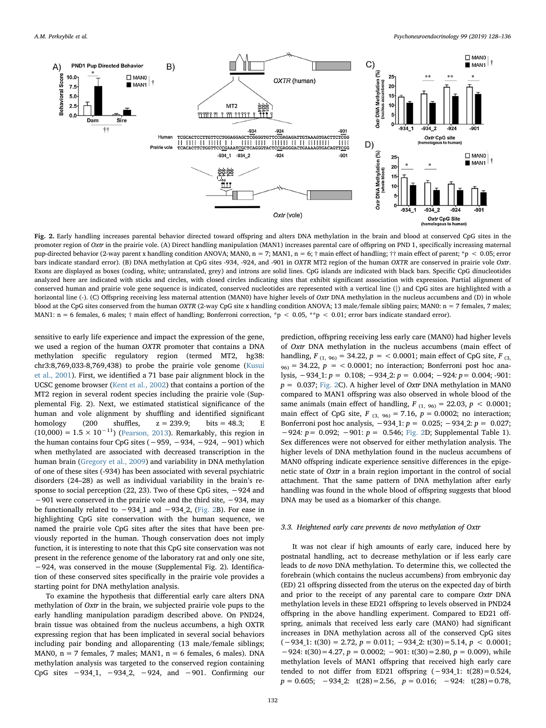<span id="page-4-0"></span>

Fig. 2. Early handling increases parental behavior directed toward offspring and alters DNA methylation in the brain and blood at conserved CpG sites in the promoter region of Oxtr in the prairie vole. (A) Direct handling manipulation (MAN1) increases parental care of offspring on PND 1, specifically increasing maternal pup-directed behavior (2-way parent x handling condition ANOVA; MAN0, n = 7; MAN1, n = 6; † main effect of handling; †† main effect of parent; \*p < 0.05; error bars indicate standard error). (B) DNA methylation at CpG sites -934, -924, and -901 in OXTR MT2 region of the human OXTR are conserved in prairie vole Oxtr. Exons are displayed as boxes (coding, white; untranslated, grey) and introns are solid lines. CpG islands are indicated with black bars. Specific CpG dinucleotides analyzed here are indicated with sticks and circles, with closed circles indicating sites that exhibit significant association with expression. Partial alignment of conserved human and prairie vole gene sequence is indicated, conserved nucleotides are represented with a vertical line (|) and CpG sites are highlighted with a horizontal line (-). (C) Offspring receiving less maternal attention (MAN0) have higher levels of Oxtr DNA methylation in the nucleus accumbens and (D) in whole blood at the CpG sites conserved from the human OXTR (2-way CpG site x handling condition ANOVA; 13 male/female sibling pairs; MAN0: n = 7 females, 7 males; MAN1: n = 6 females, 6 males; † main effect of handling; Bonferroni correction, \*p < 0.05, \*\*p < 0.01; error bars indicate standard error).

sensitive to early life experience and impact the expression of the gene, we used a region of the human OXTR promoter that contains a DNA methylation specific regulatory region (termed MT2, hg38: chr3:8,769,033-8,769,438) to probe the prairie vole genome ([Kusui](#page-8-30) [et al., 2001](#page-8-30)). First, we identified a 71 base pair alignment block in the UCSC genome browser ([Kent et al., 2002](#page-8-31)) that contains a portion of the MT2 region in several rodent species including the prairie vole (Supplemental Fig. 2). Next, we estimated statistical significance of the human and vole alignment by shuffling and identified significant homology (200 shuffles,  $z = 239.9$ ; bits = 48.3; E homology (200 shuffles,  $z = 239.9$ ; bits = 48.3; E (10,000) =  $1.5 \times 10^{-11}$ ) ([Pearson, 2013\)](#page-8-32). Remarkably, this region in the human contains four CpG sites ( $-959, -934, -924, -901$ ) which when methylated are associated with decreased transcription in the human brain [\(Gregory et al., 2009\)](#page-8-33) and variability in DNA methylation of one of these sites (-934) has been associated with several psychiatric disorders (24–28) as well as individual variability in the brain's response to social perception (22, 23). Two of these CpG sites, −924 and −901 were conserved in the prairie vole and the third site, −934, may be functionally related to  $-934.1$  and  $-934.2$ , ([Fig. 2](#page-4-0)B). For ease in highlighting CpG site conservation with the human sequence, we named the prairie vole CpG sites after the sites that have been previously reported in the human. Though conservation does not imply function, it is interesting to note that this CpG site conservation was not present in the reference genome of the laboratory rat and only one site, −924, was conserved in the mouse (Supplemental Fig. 2). Identification of these conserved sites specifically in the prairie vole provides a starting point for DNA methylation analysis.

To examine the hypothesis that differential early care alters DNA methylation of *Oxtr* in the brain, we subjected prairie vole pups to the early handling manipulation paradigm described above. On PND24, brain tissue was obtained from the nucleus accumbens, a high OXTR expressing region that has been implicated in several social behaviors including pair bonding and alloparenting (13 male/female siblings; MAN0,  $n = 7$  females, 7 males; MAN1,  $n = 6$  females, 6 males). DNA methylation analysis was targeted to the conserved region containing CpG sites  $-9341$ ,  $-9342$ ,  $-924$ , and  $-901$ . Confirming our prediction, offspring receiving less early care (MAN0) had higher levels of Oxtr DNA methylation in the nucleus accumbens (main effect of handling,  $F_{(1, 96)} = 34.22$ ,  $p = 0.0001$ ; main effect of CpG site,  $F_{(3, 96)}$  $96<sub>96</sub> = 34.22$ ,  $p = < 0.0001$ ; no interaction; Bonferroni post hoc analysis, −934\_1: p = 0.108; −934\_2: p = 0.004; −924: p= 0.004; -901:  $p = 0.037$ ; [Fig. 2](#page-4-0)C). A higher level of Oxtr DNA methylation in MAN0 compared to MAN1 offspring was also observed in whole blood of the same animals (main effect of handling,  $F_{(1, 96)} = 22.03$ ,  $p < 0.0001$ ; main effect of CpG site,  $F_{(3, 96)} = 7.16$ ,  $p = 0.0002$ ; no interaction; Bonferroni post hoc analysis,  $-934_1$ :  $p = 0.025$ ;  $-934_2$ :  $p = 0.027$ ; −924: p= 0.092; −901: p = 0.546; [Fig. 2D](#page-4-0); Supplemental Table 1). Sex differences were not observed for either methylation analysis. The higher levels of DNA methylation found in the nucleus accumbens of MAN0 offspring indicate experience sensitive differences in the epigenetic state of Oxtr in a brain region important in the control of social attachment. That the same pattern of DNA methylation after early handling was found in the whole blood of offspring suggests that blood DNA may be used as a biomarker of this change.

# 3.3. Heightened early care prevents de novo methylation of Oxtr

It was not clear if high amounts of early care, induced here by postnatal handling, act to decrease methylation or if less early care leads to de novo DNA methylation. To determine this, we collected the forebrain (which contains the nucleus accumbens) from embryonic day (ED) 21 offspring dissected from the uterus on the expected day of birth and prior to the receipt of any parental care to compare Oxtr DNA methylation levels in these ED21 offspring to levels observed in PND24 offspring in the above handling experiment. Compared to ED21 offspring, animals that received less early care (MAN0) had significant increases in DNA methylation across all of the conserved CpG sites  $(-934.1: t(30) = 2.72, p = 0.011; -934.2: t(30) = 5.14, p < 0.0001;$  $-924$ : t(30) = 4.27,  $p = 0.0002$ ;  $-901$ : t(30) = 2.80,  $p = 0.009$ ), while methylation levels of MAN1 offspring that received high early care tended to not differ from ED21 offspring (−934\_1: t(28)=0.524,  $p = 0.605$ ;  $-934.2$ : t(28)=2.56,  $p = 0.016$ ;  $-924$ : t(28)=0.78,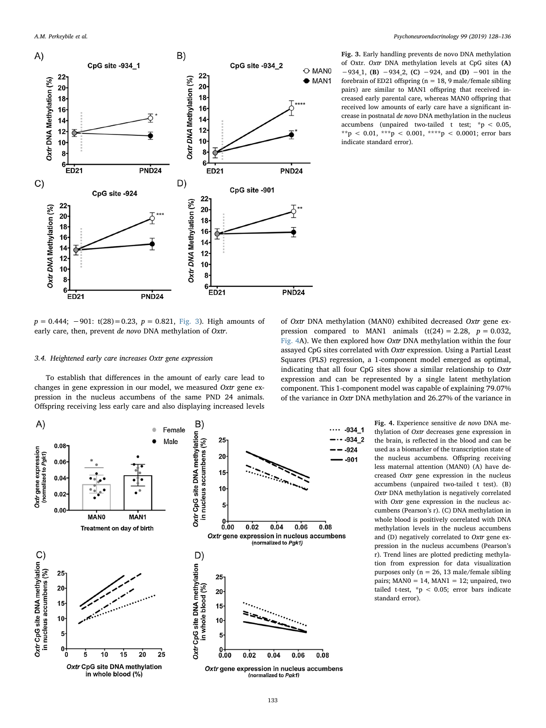<span id="page-5-0"></span>

 $p = 0.444$ ;  $-901$ : t(28)=0.23,  $p = 0.821$ , [Fig. 3](#page-5-0)). High amounts of early care, then, prevent de novo DNA methylation of Oxtr.

#### 3.4. Heightened early care increases Oxtr gene expression

To establish that differences in the amount of early care lead to changes in gene expression in our model, we measured Oxtr gene expression in the nucleus accumbens of the same PND 24 animals. Offspring receiving less early care and also displaying increased levels Fig. 3. Early handling prevents de novo DNA methylation of Oxtr. Oxtr DNA methylation levels at CpG sites (A) −934\_1, (B) −934\_2, (C) −924, and (D) −901 in the forebrain of ED21 offspring ( $n = 18$ , 9 male/female sibling pairs) are similar to MAN1 offspring that received increased early parental care, whereas MAN0 offspring that received low amounts of early care have a significant increase in postnatal de novo DNA methylation in the nucleus accumbens (unpaired two-tailed t test; \*p < 0.05, \*\*p < 0.01, \*\*\*p < 0.001, \*\*\*\*p < 0.0001; error bars indicate standard error).

of Oxtr DNA methylation (MAN0) exhibited decreased Oxtr gene expression compared to MAN1 animals  $(t(24) = 2.28, p = 0.032,$ [Fig. 4A](#page-5-1)). We then explored how *Oxtr* DNA methylation within the four assayed CpG sites correlated with Oxtr expression. Using a Partial Least Squares (PLS) regression, a 1-component model emerged as optimal, indicating that all four CpG sites show a similar relationship to Oxtr expression and can be represented by a single latent methylation component. This 1-component model was capable of explaining 79.07% of the variance in Oxtr DNA methylation and 26.27% of the variance in

<span id="page-5-1"></span>

Fig. 4. Experience sensitive de novo DNA methylation of Oxtr decreases gene expression in the brain, is reflected in the blood and can be used as a biomarker of the transcription state of the nucleus accumbens. Offspring receiving less maternal attention (MAN0) (A) have decreased Oxtr gene expression in the nucleus accumbens (unpaired two-tailed t test). (B) Oxtr DNA methylation is negatively correlated with Oxtr gene expression in the nucleus accumbens (Pearson's r). (C) DNA methylation in whole blood is positively correlated with DNA methylation levels in the nucleus accumbens and (D) negatively correlated to Oxtr gene expression in the nucleus accumbens (Pearson's r). Trend lines are plotted predicting methylation from expression for data visualization purposes only (n = 26, 13 male/female sibling pairs;  $MANO = 14$ ,  $MAN1 = 12$ ; unpaired, two tailed t-test,  $*p < 0.05$ ; error bars indicate standard error).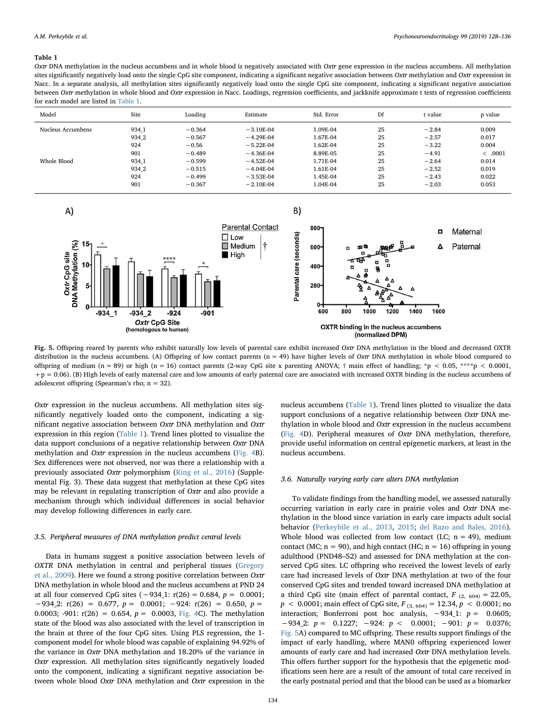#### <span id="page-6-0"></span>Table 1

Oxtr DNA methylation in the nucleus accumbens and in whole blood is negatively associated with Oxtr gene expression in the nucleus accumbens. All methylation sites significantly negatively load onto the single CpG site component, indicating a significant negative association between Oxtr methylation and Oxtr expression in Nacc. In a separate analysis, all methylation sites significantly negatively load onto the single CpG site component, indicating a significant negative association between Oxtr methylation in whole blood and Oxtr expression in Nacc. Loadings, regression coefficients, and jackknife approximate t tests of regression coefficients for each model are listed in [Table 1.](#page-6-0)

| Model             | Site  | Loading  | Estimate    | Std. Error | Df | t value | p value |
|-------------------|-------|----------|-------------|------------|----|---------|---------|
| Nucleus Accumbens | 934 1 | $-0.364$ | $-3.10F-04$ | 1.09E-04   | 25 | $-2.84$ | 0.009   |
|                   | 934 2 | $-0.567$ | $-4.29F-04$ | 1.67E-04   | 25 | $-2.57$ | 0.017   |
|                   | 924   | $-0.56$  | $-5.22E-04$ | 1.62E-04   | 25 | $-3.22$ | 0.004   |
|                   | 901   | $-0.489$ | $-4.36E-04$ | 8.89E-05   | 25 | $-4.91$ | < .0001 |
| Whole Blood       | 934 1 | $-0.599$ | $-4.52E-04$ | 1.71E-04   | 25 | $-2.64$ | 0.014   |
|                   | 934 2 | $-0.515$ | $-4.04E-04$ | 1.61E-04   | 25 | $-2.52$ | 0.019   |
|                   | 924   | $-0.499$ | $-3.53E-04$ | 1.45E-04   | 25 | $-2.43$ | 0.022   |
|                   | 901   | $-0.367$ | $-2.10E-04$ | 1.04E-04   | 25 | $-2.03$ | 0.053   |

<span id="page-6-1"></span>

Fig. 5. Offspring reared by parents who exhibit naturally low levels of parental care exhibit increased Oxtr DNA methylation in the blood and decreased OXTR distribution in the nucleus accumbens. (A) Offspring of low contact parents ( $n = 49$ ) have higher levels of Oxtr DNA methylation in whole blood compared to offspring of medium (n = 89) or high (n = 16) contact parents (2-way CpG site x parenting ANOVA;  $\dagger$  main effect of handling; \*p < 0.05, \*\*\*\*p < 0.0001,  $+p = 0.06$ ). (B) High levels of early maternal care and low amounts of early paternal care are associated with increased OXTR binding in the nucleus accumbens of adolescent offspring (Spearman's rho; n = 32).

Oxtr expression in the nucleus accumbens. All methylation sites significantly negatively loaded onto the component, indicating a significant negative association between Oxtr DNA methylation and Oxtr expression in this region [\(Table 1\)](#page-6-0). Trend lines plotted to visualize the data support conclusions of a negative relationship between Oxtr DNA methylation and Oxtr expression in the nucleus accumbens ([Fig. 4B](#page-5-1)). Sex differences were not observed, nor was there a relationship with a previously associated Oxtr polymorphism [\(King et al., 2016](#page-8-34)) (Supplemental Fig. 3). These data suggest that methylation at these CpG sites may be relevant in regulating transcription of Oxtr and also provide a mechanism through which individual differences in social behavior may develop following differences in early care.

# 3.5. Peripheral measures of DNA methylation predict central levels

Data in humans suggest a positive association between levels of OXTR DNA methylation in central and peripheral tissues [\(Gregory](#page-8-33) [et al., 2009\)](#page-8-33). Here we found a strong positive correlation between Oxtr DNA methylation in whole blood and the nucleus accumbens at PND 24 at all four conserved CpG sites  $(-934_1: r(26) = 0.684, p = 0.0001;$  $-934\_2$ : r(26) = 0.677, p = 0.0001; -924: r(26) = 0.650, p = 0.0003; -901:  $r(26) = 0.654$ ,  $p = 0.0003$ , [Fig. 4](#page-5-1)C). The methylation state of the blood was also associated with the level of transcription in the brain at three of the four CpG sites. Using PLS regression, the 1 component model for whole blood was capable of explaining 94.92% of the variance in Oxtr DNA methylation and 18.20% of the variance in Oxtr expression. All methylation sites significantly negatively loaded onto the component, indicating a significant negative association between whole blood Oxtr DNA methylation and Oxtr expression in the nucleus accumbens ([Table 1](#page-6-0)). Trend lines plotted to visualize the data support conclusions of a negative relationship between Oxtr DNA methylation in whole blood and Oxtr expression in the nucleus accumbens ([Fig. 4](#page-5-1)D). Peripheral measures of Oxtr DNA methylation, therefore, provide useful information on central epigenetic markers, at least in the nucleus accumbens.

#### 3.6. Naturally varying early care alters DNA methylation

To validate findings from the handling model, we assessed naturally occurring variation in early care in prairie voles and Oxtr DNA methylation in the blood since variation in early care impacts adult social behavior [\(Perkeybile et al., 2013](#page-8-6), [2015](#page-8-7); [del Razo and Bales, 2016](#page-8-8)). Whole blood was collected from low contact (LC;  $n = 49$ ), medium contact (MC;  $n = 90$ ), and high contact (HC;  $n = 16$ ) offspring in young adulthood (PND48–52) and assessed for DNA methylation at the conserved CpG sites. LC offspring who received the lowest levels of early care had increased levels of Oxtr DNA methylation at two of the four conserved CpG sites and trended toward increased DNA methylation at a third CpG site (main effect of parental contact,  $F_{(2, 604)} = 22.05$ ,  $p < 0.0001$ ; main effect of CpG site,  $F_{(3, 604)} = 12.34, p < 0.0001$ ; no interaction; Bonferroni post hoc analysis,  $-934_1$ :  $p = 0.0605$ ;  $-934\_2$ :  $p = 0.1227$ ;  $-924$ :  $p < 0.0001$ ;  $-901$ :  $p = 0.0376$ ; [Fig. 5](#page-6-1)A) compared to MC offspring. These results support findings of the impact of early handling, where MAN0 offspring experienced lower amounts of early care and had increased Oxtr DNA methylation levels. This offers further support for the hypothesis that the epigenetic modifications seen here are a result of the amount of total care received in the early postnatal period and that the blood can be used as a biomarker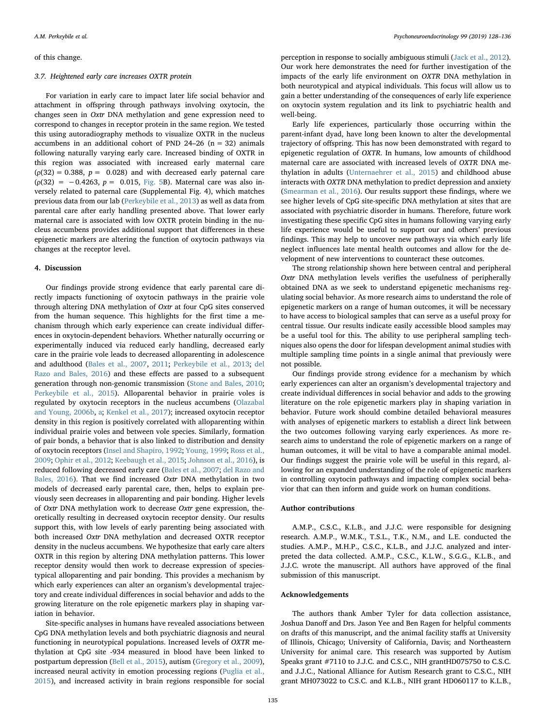## of this change.

# 3.7. Heightened early care increases OXTR protein

For variation in early care to impact later life social behavior and attachment in offspring through pathways involving oxytocin, the changes seen in Oxtr DNA methylation and gene expression need to correspond to changes in receptor protein in the same region. We tested this using autoradiography methods to visualize OXTR in the nucleus accumbens in an additional cohort of PND 24–26 ( $n = 32$ ) animals following naturally varying early care. Increased binding of OXTR in this region was associated with increased early maternal care  $p(0.32) = 0.388$ ,  $p = 0.028$  and with decreased early paternal care  $(p(32) = -0.4263, p = 0.015, Fig. 5B)$  $(p(32) = -0.4263, p = 0.015, Fig. 5B)$  $(p(32) = -0.4263, p = 0.015, Fig. 5B)$ . Maternal care was also inversely related to paternal care (Supplemental Fig. 4), which matches previous data from our lab ([Perkeybile et al., 2013](#page-8-6)) as well as data from parental care after early handling presented above. That lower early maternal care is associated with low OXTR protein binding in the nucleus accumbens provides additional support that differences in these epigenetic markers are altering the function of oxytocin pathways via changes at the receptor level.

## 4. Discussion

Our findings provide strong evidence that early parental care directly impacts functioning of oxytocin pathways in the prairie vole through altering DNA methylation of Oxtr at four CpG sites conserved from the human sequence. This highlights for the first time a mechanism through which early experience can create individual differences in oxytocin-dependent behaviors. Whether naturally occurring or experimentally induced via reduced early handling, decreased early care in the prairie vole leads to decreased alloparenting in adolescence and adulthood [\(Bales et al., 2007](#page-8-9), [2011;](#page-8-25) [Perkeybile et al., 2013](#page-8-6); [del](#page-8-8) [Razo and Bales, 2016\)](#page-8-8) and these effects are passed to a subsequent generation through non-genomic transmission [\(Stone and Bales, 2010](#page-8-21); [Perkeybile et al., 2015](#page-8-7)). Alloparental behavior in prairie voles is regulated by oxytocin receptors in the nucleus accumbens ([Olazabal](#page-8-18) [and Young, 2006b,](#page-8-18) [a;](#page-8-11) [Kenkel et al., 2017](#page-8-35)); increased oxytocin receptor density in this region is positively correlated with alloparenting within individual prairie voles and between vole species. Similarly, formation of pair bonds, a behavior that is also linked to distribution and density of oxytocin receptors ([Insel and Shapiro, 1992;](#page-8-15) [Young, 1999](#page-8-16); [Ross et al.,](#page-8-12) [2009;](#page-8-12) [Ophir et al., 2012](#page-8-36); [Keebaugh et al., 2015](#page-8-14); [Johnson et al., 2016\)](#page-8-37), is reduced following decreased early care [\(Bales et al., 2007](#page-8-9); del [Razo and](#page-8-8) [Bales, 2016\)](#page-8-8). That we find increased Oxtr DNA methylation in two models of decreased early parental care, then, helps to explain previously seen decreases in alloparenting and pair bonding. Higher levels of Oxtr DNA methylation work to decrease Oxtr gene expression, theoretically resulting in decreased oxytocin receptor density. Our results support this, with low levels of early parenting being associated with both increased Oxtr DNA methylation and decreased OXTR receptor density in the nucleus accumbens. We hypothesize that early care alters OXTR in this region by altering DNA methylation patterns. This lower receptor density would then work to decrease expression of speciestypical alloparenting and pair bonding. This provides a mechanism by which early experiences can alter an organism's developmental trajectory and create individual differences in social behavior and adds to the growing literature on the role epigenetic markers play in shaping variation in behavior.

Site-specific analyses in humans have revealed associations between CpG DNA methylation levels and both psychiatric diagnosis and neural functioning in neurotypical populations. Increased levels of OXTR methylation at CpG site -934 measured in blood have been linked to postpartum depression ([Bell et al., 2015\)](#page-8-38), autism [\(Gregory et al., 2009](#page-8-33)), increased neural activity in emotion processing regions ([Puglia et al.,](#page-8-39) [2015\)](#page-8-39), and increased activity in brain regions responsible for social

perception in response to socially ambiguous stimuli [\(Jack et al., 2012](#page-8-40)). Our work here demonstrates the need for further investigation of the impacts of the early life environment on OXTR DNA methylation in both neurotypical and atypical individuals. This focus will allow us to gain a better understanding of the consequences of early life experience on oxytocin system regulation and its link to psychiatric health and well-being.

Early life experiences, particularly those occurring within the parent-infant dyad, have long been known to alter the developmental trajectory of offspring. This has now been demonstrated with regard to epigenetic regulation of OXTR. In humans, low amounts of childhood maternal care are associated with increased levels of OXTR DNA methylation in adults [\(Unternaehrer et al., 2015\)](#page-8-41) and childhood abuse interacts with OXTR DNA methylation to predict depression and anxiety ([Smearman et al., 2016](#page-8-42)). Our results support these findings, where we see higher levels of CpG site-specific DNA methylation at sites that are associated with psychiatric disorder in humans. Therefore, future work investigating these specific CpG sites in humans following varying early life experience would be useful to support our and others' previous findings. This may help to uncover new pathways via which early life neglect influences late mental health outcomes and allow for the development of new interventions to counteract these outcomes.

The strong relationship shown here between central and peripheral Oxtr DNA methylation levels verifies the usefulness of peripherally obtained DNA as we seek to understand epigenetic mechanisms regulating social behavior. As more research aims to understand the role of epigenetic markers on a range of human outcomes, it will be necessary to have access to biological samples that can serve as a useful proxy for central tissue. Our results indicate easily accessible blood samples may be a useful tool for this. The ability to use peripheral sampling techniques also opens the door for lifespan development animal studies with multiple sampling time points in a single animal that previously were not possible.

Our findings provide strong evidence for a mechanism by which early experiences can alter an organism's developmental trajectory and create individual differences in social behavior and adds to the growing literature on the role epigenetic markers play in shaping variation in behavior. Future work should combine detailed behavioral measures with analyses of epigenetic markers to establish a direct link between the two outcomes following varying early experiences. As more research aims to understand the role of epigenetic markers on a range of human outcomes, it will be vital to have a comparable animal model. Our findings suggest the prairie vole will be useful in this regard, allowing for an expanded understanding of the role of epigenetic markers in controlling oxytocin pathways and impacting complex social behavior that can then inform and guide work on human conditions.

## Author contributions

A.M.P., C.S.C., K.L.B., and J.J.C. were responsible for designing research. A.M.P., W.M.K., T.S.L., T.K., N.M., and L.E. conducted the studies. A.M.P., M.H.P., C.S.C., K.L.B., and J.J.C. analyzed and interpreted the data collected. A.M.P., C.S.C., K.L.W., S.G.G., K.L.B., and J.J.C. wrote the manuscript. All authors have approved of the final submission of this manuscript.

# Acknowledgements

The authors thank Amber Tyler for data collection assistance, Joshua Danoff and Drs. Jason Yee and Ben Ragen for helpful comments on drafts of this manuscript, and the animal facility staffs at University of Illinois, Chicago; University of California, Davis; and Northeastern University for animal care. This research was supported by Autism Speaks grant #7110 to J.J.C. and C.S.C., NIH grantHD075750 to C.S.C. and J.J.C., National Alliance for Autism Research grant to C.S.C., NIH grant MH073022 to C.S.C. and K.L.B., NIH grant HD060117 to K.L.B.,